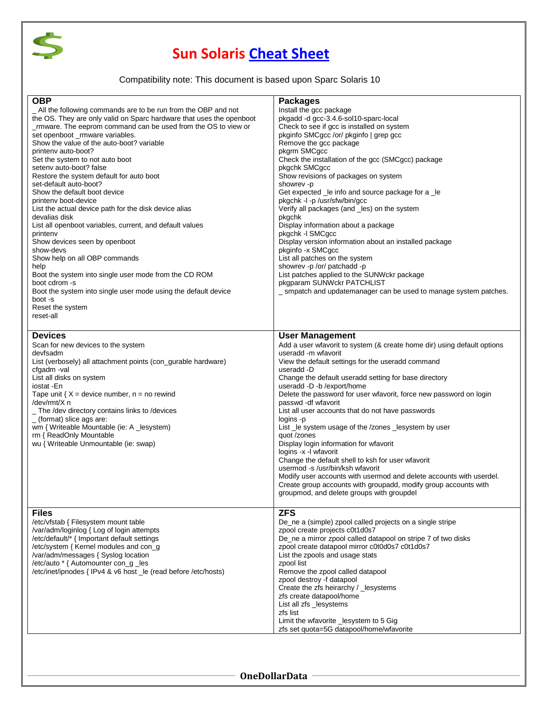

## **Sun Solaris [Cheat Sheet](http://www.onedollardata.com/)**

## Compatibility note: This document is based upon Sparc Solaris 10

| <b>OBP</b><br>All the following commands are to be run from the OBP and not<br>the OS. They are only valid on Sparc hardware that uses the openboot<br>mware. The eeprom command can be used from the OS to view or<br>set openboot_rmware variables.<br>Show the value of the auto-boot? variable<br>printeny auto-boot?<br>Set the system to not auto boot<br>seteny auto-boot? false<br>Restore the system default for auto boot<br>set-default auto-boot?<br>Show the default boot device<br>printeny boot-device<br>List the actual device path for the disk device alias<br>devalias disk<br>List all openboot variables, current, and default values<br>printenv<br>Show devices seen by openboot<br>show-devs<br>Show help on all OBP commands<br>help<br>Boot the system into single user mode from the CD ROM<br>boot cdrom -s<br>Boot the system into single user mode using the default device<br>boot -s<br>Reset the system<br>reset-all | <b>Packages</b><br>Install the gcc package<br>pkgadd -d gcc-3.4.6-sol10-sparc-local<br>Check to see if gcc is installed on system<br>pkginfo SMCgcc /or/ pkginfo   grep gcc<br>Remove the gcc package<br>pkgrm SMCgcc<br>Check the installation of the gcc (SMCgcc) package<br>pkgchk SMCgcc<br>Show revisions of packages on system<br>showrev -p<br>Get expected Le info and source package for a Le<br>pkgchk -I -p /usr/sfw/bin/gcc<br>Verify all packages (and les) on the system<br>pkgchk<br>Display information about a package<br>pkgchk -I SMCgcc<br>Display version information about an installed package<br>pkginfo - x SMCgcc<br>List all patches on the system<br>showrev -p /or/ patchadd -p<br>List patches applied to the SUNWckr package<br>pkgparam SUNWckr PATCHLIST<br>_ smpatch and updatemanager can be used to manage system patches.                |
|--------------------------------------------------------------------------------------------------------------------------------------------------------------------------------------------------------------------------------------------------------------------------------------------------------------------------------------------------------------------------------------------------------------------------------------------------------------------------------------------------------------------------------------------------------------------------------------------------------------------------------------------------------------------------------------------------------------------------------------------------------------------------------------------------------------------------------------------------------------------------------------------------------------------------------------------------------|-------------------------------------------------------------------------------------------------------------------------------------------------------------------------------------------------------------------------------------------------------------------------------------------------------------------------------------------------------------------------------------------------------------------------------------------------------------------------------------------------------------------------------------------------------------------------------------------------------------------------------------------------------------------------------------------------------------------------------------------------------------------------------------------------------------------------------------------------------------------------------|
| <b>Devices</b><br>Scan for new devices to the system<br>devfsadm<br>List (verbosely) all attachment points (con_gurable hardware)<br>cfgadm -val<br>List all disks on system<br>iostat -En<br>Tape unit { $X =$ device number, n = no rewind<br>/dev/rmt/X n<br>The /dev directory contains links to /devices<br>$(format)$ slice ags are:<br>wm { Writeable Mountable (ie: A _lesystem)<br>rm { ReadOnly Mountable<br>wu { Writeable Unmountable (ie: swap)                                                                                                                                                                                                                                                                                                                                                                                                                                                                                           | <b>User Management</b><br>Add a user wfavorit to system (& create home dir) using default options<br>useradd -m wfavorit<br>View the default settings for the useradd command<br>useradd -D<br>Change the default useradd setting for base directory<br>useradd -D -b /export/home<br>Delete the password for user wfavorit, force new password on login<br>passwd - df wfavorit<br>List all user accounts that do not have passwords<br>logins -p<br>List _le system usage of the /zones _lesystem by user<br>quot /zones<br>Display login information for wfavorit<br>logins -x -l wfavorit<br>Change the default shell to ksh for user wfavorit<br>usermod -s /usr/bin/ksh wfavorit<br>Modify user accounts with usermod and delete accounts with userdel.<br>Create group accounts with groupadd, modify group accounts with<br>groupmod, and delete groups with groupdel |
| <b>Files</b><br>/etc/vfstab { Filesystem mount table<br>/var/adm/loginlog { Log of login attempts<br>/etc/default/* { Important default settings<br>/etc/system { Kernel modules and con q<br>/var/adm/messages { Syslog location<br>/etc/auto * { Automounter con_g _les<br>/etc/inet/ipnodes { IPv4 & v6 host le (read before /etc/hosts)                                                                                                                                                                                                                                                                                                                                                                                                                                                                                                                                                                                                            | <b>ZFS</b><br>De_ne a (simple) zpool called projects on a single stripe<br>zpool create projects c0t1d0s7<br>De_ne a mirror zpool called datapool on stripe 7 of two disks<br>zpool create datapool mirror c0t0d0s7 c0t1d0s7<br>List the zpools and usage stats<br>zpool list<br>Remove the zpool called datapool<br>zpool destroy -f datapool<br>Create the zfs heirarchy / _lesystems<br>zfs create datapool/home<br>List all zfs _lesystems<br>zfs list<br>Limit the wfavorite _lesystem to 5 Gig<br>zfs set quota=5G datapool/home/wfavorite                                                                                                                                                                                                                                                                                                                              |